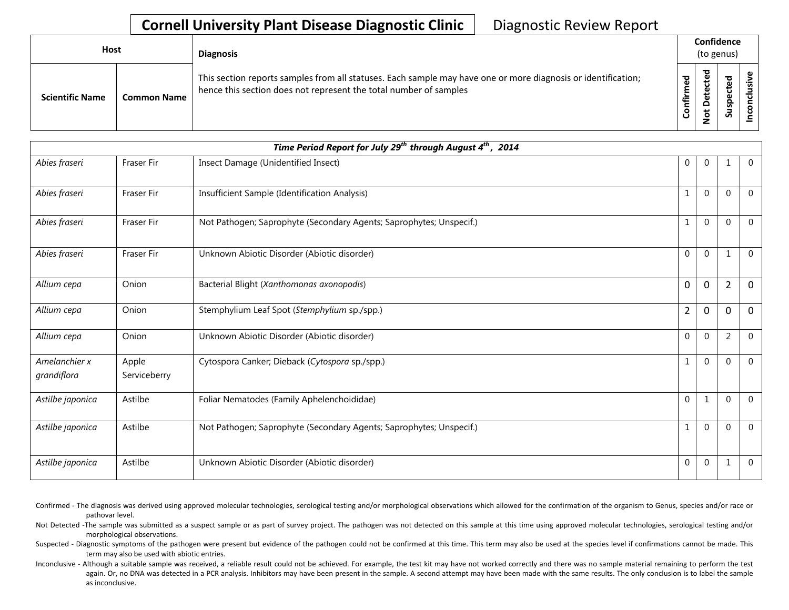| <b>Host</b>            |                    | <b>Diagnosis</b>                                                                                                                                                                   |                  | Confidence<br>(to genus)        |                       |   |  |  |
|------------------------|--------------------|------------------------------------------------------------------------------------------------------------------------------------------------------------------------------------|------------------|---------------------------------|-----------------------|---|--|--|
| <b>Scientific Name</b> | <b>Common Name</b> | This section reports samples from all statuses. Each sample may have one or more diagnosis or identification;<br>hence this section does not represent the total number of samples | ਠ<br>ε<br>onfiri | ठ<br>e<br>ں<br>ይ<br>۵<br>پ<br>؋ | <b>ba</b><br>9s<br>ທ່ | ω |  |  |

|                              |                       | Time Period Report for July 29 <sup>th</sup> through August 4 <sup>th</sup> , 2014 |                |              |                |              |
|------------------------------|-----------------------|------------------------------------------------------------------------------------|----------------|--------------|----------------|--------------|
| Abies fraseri                | <b>Fraser Fir</b>     | Insect Damage (Unidentified Insect)                                                | 0              | $\mathbf 0$  | $\mathbf 1$    | $\mathbf{0}$ |
| Abies fraseri                | <b>Fraser Fir</b>     | Insufficient Sample (Identification Analysis)                                      | 1              | $\Omega$     | $\Omega$       | $\Omega$     |
| Abies fraseri                | Fraser Fir            | Not Pathogen; Saprophyte (Secondary Agents; Saprophytes; Unspecif.)                | 1              | $\mathbf 0$  | $\mathbf 0$    | $\mathbf 0$  |
| Abies fraseri                | <b>Fraser Fir</b>     | Unknown Abiotic Disorder (Abiotic disorder)                                        | $\overline{0}$ | $\mathbf{0}$ | $\mathbf{1}$   | $\mathbf 0$  |
| Allium cepa                  | Onion                 | Bacterial Blight (Xanthomonas axonopodis)                                          | 0              | $\mathbf 0$  | $\overline{2}$ | $\Omega$     |
| Allium cepa                  | Onion                 | Stemphylium Leaf Spot (Stemphylium sp./spp.)                                       | $\overline{2}$ | 0            | $\mathbf 0$    | $\Omega$     |
| Allium cepa                  | Onion                 | Unknown Abiotic Disorder (Abiotic disorder)                                        | $\overline{0}$ | $\mathbf{0}$ | $\overline{2}$ | $\Omega$     |
| Amelanchier x<br>grandiflora | Apple<br>Serviceberry | Cytospora Canker; Dieback (Cytospora sp./spp.)                                     | 1              | $\mathbf 0$  | $\mathbf{0}$   | $\Omega$     |
| Astilbe japonica             | Astilbe               | Foliar Nematodes (Family Aphelenchoididae)                                         | $\overline{0}$ | 1            | $\mathbf 0$    | $\Omega$     |
| Astilbe japonica             | Astilbe               | Not Pathogen; Saprophyte (Secondary Agents; Saprophytes; Unspecif.)                |                | $\mathbf{0}$ | 0              | $\Omega$     |
| Astilbe japonica             | Astilbe               | Unknown Abiotic Disorder (Abiotic disorder)                                        | $\overline{0}$ | $\mathbf 0$  | $\mathbf 1$    | $\mathbf 0$  |

Confirmed - The diagnosis was derived using approved molecular technologies, serological testing and/or morphological observations which allowed for the confirmation of the organism to Genus, species and/or race or pathovar level.

Not Detected -The sample was submitted as a suspect sample or as part of survey project. The pathogen was not detected on this sample at this time using approved molecular technologies, serological testing and/or morphological observations.

Suspected - Diagnostic symptoms of the pathogen were present but evidence of the pathogen could not be confirmed at this time. This term may also be used at the species level if confirmations cannot be made. This term may also be used with abiotic entries.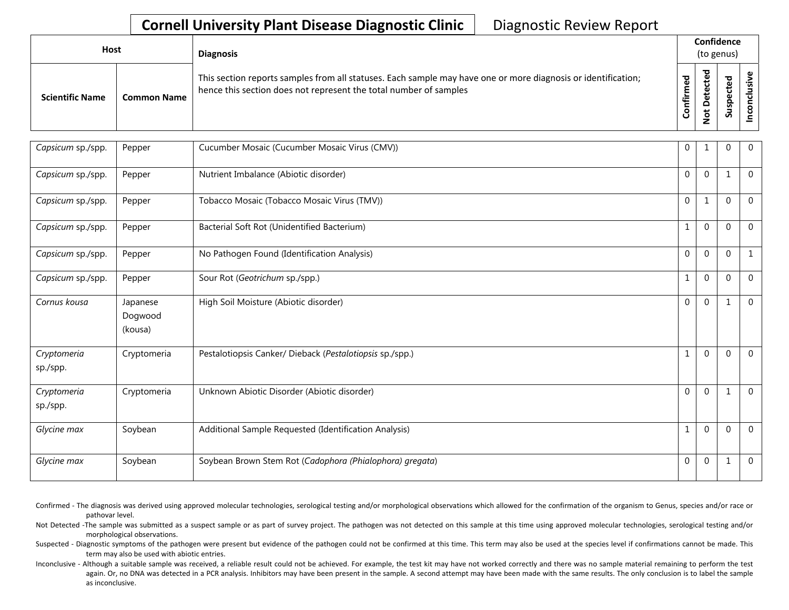| Host                   |                    | <b>Diagnosis</b>                                                                                                                                                                   |                  |                            | Confidence<br>(to genus) |  |
|------------------------|--------------------|------------------------------------------------------------------------------------------------------------------------------------------------------------------------------------|------------------|----------------------------|--------------------------|--|
| <b>Scientific Name</b> | <b>Common Name</b> | This section reports samples from all statuses. Each sample may have one or more diagnosis or identification;<br>hence this section does not represent the total number of samples | 5g<br>Ě<br>onfir | ᅙ<br>ω<br>⊷<br>≏<br>پ<br>o | ठ<br>سد<br>௨<br>Sus      |  |

| Capsicum sp./spp.       | Pepper                         | Cucumber Mosaic (Cucumber Mosaic Virus (CMV))            | $\mathbf 0$    |              | $\mathbf{0}$     | $\mathbf 0$  |
|-------------------------|--------------------------------|----------------------------------------------------------|----------------|--------------|------------------|--------------|
| Capsicum sp./spp.       | Pepper                         | Nutrient Imbalance (Abiotic disorder)                    | $\mathbf 0$    | $\mathbf 0$  | $\mathbf{1}$     | $\mathbf 0$  |
| Capsicum sp./spp.       | Pepper                         | Tobacco Mosaic (Tobacco Mosaic Virus (TMV))              | $\overline{0}$ | 1            | $\mathbf 0$      | $\mathbf 0$  |
| Capsicum sp./spp.       | Pepper                         | Bacterial Soft Rot (Unidentified Bacterium)              | 1              | $\Omega$     | $\mathbf 0$      | $\Omega$     |
| Capsicum sp./spp.       | Pepper                         | No Pathogen Found (Identification Analysis)              | $\overline{0}$ | $\Omega$     | $\mathbf{0}$     | $\mathbf{1}$ |
| Capsicum sp./spp.       | Pepper                         | Sour Rot (Geotrichum sp./spp.)                           | 1              | $\mathbf{0}$ | $\boldsymbol{0}$ | $\Omega$     |
| Cornus kousa            | Japanese<br>Dogwood<br>(kousa) | High Soil Moisture (Abiotic disorder)                    | $\mathbf 0$    | $\mathbf 0$  | $\mathbf{1}$     | $\mathbf 0$  |
| Cryptomeria<br>sp./spp. | Cryptomeria                    | Pestalotiopsis Canker/ Dieback (Pestalotiopsis sp./spp.) | 1              | $\mathbf{0}$ | $\mathbf{0}$     | $\mathbf 0$  |
| Cryptomeria<br>sp./spp. | Cryptomeria                    | Unknown Abiotic Disorder (Abiotic disorder)              | $\Omega$       | $\mathbf{0}$ | 1                | $\mathbf{0}$ |
| Glycine max             | Soybean                        | Additional Sample Requested (Identification Analysis)    | 1              | $\mathbf{0}$ | $\boldsymbol{0}$ | $\mathbf{0}$ |
| Glycine max             | Soybean                        | Soybean Brown Stem Rot (Cadophora (Phialophora) gregata) | $\overline{0}$ | 0            | 1                | $\mathbf 0$  |

Confirmed - The diagnosis was derived using approved molecular technologies, serological testing and/or morphological observations which allowed for the confirmation of the organism to Genus, species and/or race or pathovar level.

Not Detected -The sample was submitted as a suspect sample or as part of survey project. The pathogen was not detected on this sample at this time using approved molecular technologies, serological testing and/or morphological observations.

Suspected - Diagnostic symptoms of the pathogen were present but evidence of the pathogen could not be confirmed at this time. This term may also be used at the species level if confirmations cannot be made. This term may also be used with abiotic entries.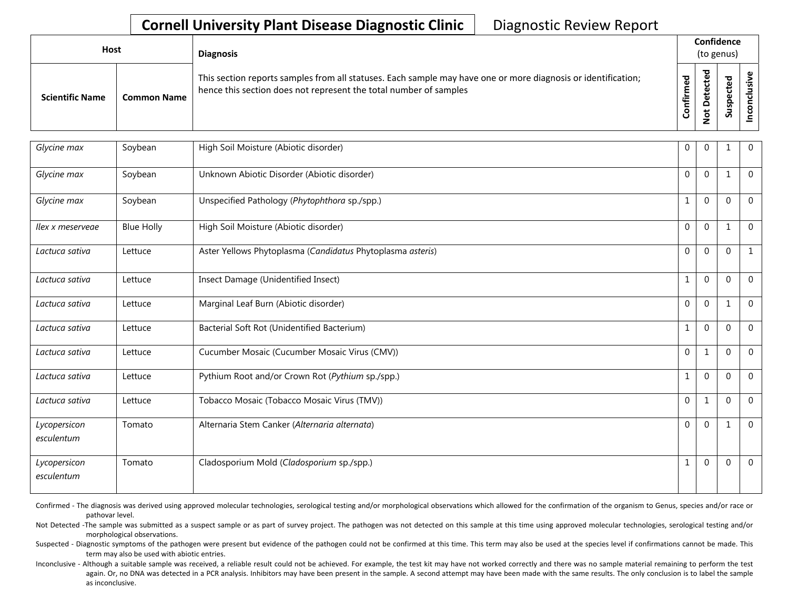| Host                   |                    | <b>Diagnosis</b>                                                                                                                                                                   |                      | Confidence<br>(to genus) |             |  |  |
|------------------------|--------------------|------------------------------------------------------------------------------------------------------------------------------------------------------------------------------------|----------------------|--------------------------|-------------|--|--|
| <b>Scientific Name</b> | <b>Common Name</b> | This section reports samples from all statuses. Each sample may have one or more diagnosis or identification;<br>hence this section does not represent the total number of samples | ි<br>ම<br>Ě<br>onfir | ਠ<br>پ<br>t<br><u>g</u>  | ъ<br>∍<br>S |  |  |

| Glycine max                | Soybean           | High Soil Moisture (Abiotic disorder)                      | $\overline{0}$ | $\mathbf 0$  | 1                | $\mathbf{0}$     |
|----------------------------|-------------------|------------------------------------------------------------|----------------|--------------|------------------|------------------|
| Glycine max                | Soybean           | Unknown Abiotic Disorder (Abiotic disorder)                | $\Omega$       | $\mathbf{0}$ | 1                | $\Omega$         |
| Glycine max                | Soybean           | Unspecified Pathology (Phytophthora sp./spp.)              | 1              | $\mathbf{0}$ | $\mathbf 0$      | $\mathbf 0$      |
| llex x meservege           | <b>Blue Holly</b> | High Soil Moisture (Abiotic disorder)                      | $\mathbf 0$    | $\mathbf{0}$ | 1                | $\mathbf{0}$     |
| Lactuca sativa             | Lettuce           | Aster Yellows Phytoplasma (Candidatus Phytoplasma asteris) | $\mathbf 0$    | $\mathbf 0$  | $\mathbf{0}$     | $\mathbf{1}$     |
| Lactuca sativa             | Lettuce           | Insect Damage (Unidentified Insect)                        | $\mathbf{1}$   | $\mathbf{0}$ | $\mathbf 0$      | $\mathbf{0}$     |
| Lactuca sativa             | Lettuce           | Marginal Leaf Burn (Abiotic disorder)                      | $\overline{0}$ | $\mathbf{0}$ | 1                | $\mathbf{0}$     |
| Lactuca sativa             | Lettuce           | Bacterial Soft Rot (Unidentified Bacterium)                | 1              | $\mathbf{0}$ | $\boldsymbol{0}$ | $\mathbf 0$      |
| Lactuca sativa             | Lettuce           | Cucumber Mosaic (Cucumber Mosaic Virus (CMV))              | $\Omega$       | 1            | $\mathbf{0}$     | $\mathbf 0$      |
| Lactuca sativa             | Lettuce           | Pythium Root and/or Crown Rot (Pythium sp./spp.)           | 1              | $\mathbf 0$  | $\mathbf{0}$     | $\mathbf 0$      |
| Lactuca sativa             | Lettuce           | Tobacco Mosaic (Tobacco Mosaic Virus (TMV))                | $\mathbf 0$    | 1            | $\mathbf 0$      | $\boldsymbol{0}$ |
| Lycopersicon<br>esculentum | Tomato            | Alternaria Stem Canker (Alternaria alternata)              | $\overline{0}$ | $\mathbf 0$  | 1                | $\mathbf 0$      |
| Lycopersicon<br>esculentum | Tomato            | Cladosporium Mold (Cladosporium sp./spp.)                  | 1              | $\Omega$     | $\boldsymbol{0}$ | $\Omega$         |

Confirmed - The diagnosis was derived using approved molecular technologies, serological testing and/or morphological observations which allowed for the confirmation of the organism to Genus, species and/or race or pathovar level.

Not Detected -The sample was submitted as a suspect sample or as part of survey project. The pathogen was not detected on this sample at this time using approved molecular technologies, serological testing and/or morphological observations.

Suspected - Diagnostic symptoms of the pathogen were present but evidence of the pathogen could not be confirmed at this time. This term may also be used at the species level if confirmations cannot be made. This term may also be used with abiotic entries.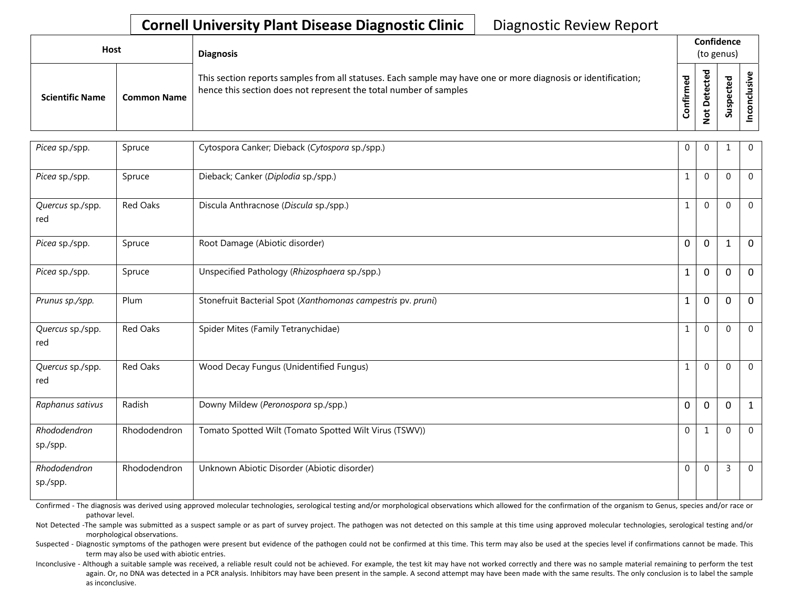| <b>Host</b>            |             | <b>Diagnosis</b>                                                                                                                                                                   |                             |                                                | Confidence<br>(to genus)        |  |
|------------------------|-------------|------------------------------------------------------------------------------------------------------------------------------------------------------------------------------------|-----------------------------|------------------------------------------------|---------------------------------|--|
| <b>Scientific Name</b> | Common Name | This section reports samples from all statuses. Each sample may have one or more diagnosis or identification;<br>hence this section does not represent the total number of samples | ᇴ<br>ě<br>E<br><b>Infin</b> | ᅙ<br>$\mathbf{\omega}$<br>-<br>ete<br><u>۽</u> | ਠ<br>ஐ<br>ن<br>௨<br>s<br>ے<br>Ū |  |

| Picea sp./spp.           | Spruce          | Cytospora Canker; Dieback (Cytospora sp./spp.)               | 0            | 0            | $\mathbf 1$  | $\mathbf 0$    |
|--------------------------|-----------------|--------------------------------------------------------------|--------------|--------------|--------------|----------------|
| Picea sp./spp.           | Spruce          | Dieback; Canker (Diplodia sp./spp.)                          | $\mathbf{1}$ | 0            | $\mathbf 0$  | $\mathbf{0}$   |
| Quercus sp./spp.<br>red  | Red Oaks        | Discula Anthracnose (Discula sp./spp.)                       | $\mathbf{1}$ | 0            | $\mathbf 0$  | $\mathbf 0$    |
| Picea sp./spp.           | Spruce          | Root Damage (Abiotic disorder)                               | 0            | 0            | $\mathbf{1}$ | $\mathbf 0$    |
| Picea sp./spp.           | Spruce          | Unspecified Pathology (Rhizosphaera sp./spp.)                | $\mathbf{1}$ | 0            | $\mathbf 0$  | $\mathbf{0}$   |
| Prunus sp./spp.          | Plum            | Stonefruit Bacterial Spot (Xanthomonas campestris pv. pruni) | $\mathbf{1}$ | $\mathbf 0$  | $\mathbf 0$  | $\mathbf{0}$   |
| Quercus sp./spp.<br>red  | <b>Red Oaks</b> | Spider Mites (Family Tetranychidae)                          | $\mathbf{1}$ | $\mathbf{0}$ | $\mathbf 0$  | $\mathbf 0$    |
| Quercus sp./spp.<br>red  | <b>Red Oaks</b> | Wood Decay Fungus (Unidentified Fungus)                      | $\mathbf{1}$ | 0            | $\mathbf 0$  | $\mathbf 0$    |
| Raphanus sativus         | Radish          | Downy Mildew (Peronospora sp./spp.)                          | $\mathbf 0$  | $\mathbf 0$  | $\mathbf 0$  | $\mathbf{1}$   |
| Rhododendron<br>sp./spp. | Rhododendron    | Tomato Spotted Wilt (Tomato Spotted Wilt Virus (TSWV))       | 0            | 1            | $\mathbf 0$  | $\mathbf{0}$   |
| Rhododendron<br>sp./spp. | Rhododendron    | Unknown Abiotic Disorder (Abiotic disorder)                  | 0            | 0            | 3            | $\overline{0}$ |

Confirmed - The diagnosis was derived using approved molecular technologies, serological testing and/or morphological observations which allowed for the confirmation of the organism to Genus, species and/or race or pathovar level.

Not Detected -The sample was submitted as a suspect sample or as part of survey project. The pathogen was not detected on this sample at this time using approved molecular technologies, serological testing and/or morphological observations.

Suspected - Diagnostic symptoms of the pathogen were present but evidence of the pathogen could not be confirmed at this time. This term may also be used at the species level if confirmations cannot be made. This term may also be used with abiotic entries.